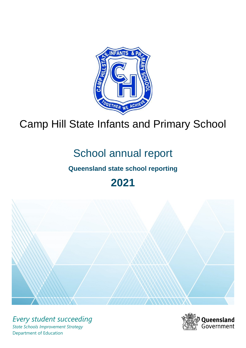

## Camp Hill State Infants and Primary School

# School annual report

## **Queensland state school reporting**

**2021**



*Every student succeeding State Schools Improvement Strategy* Department of Education

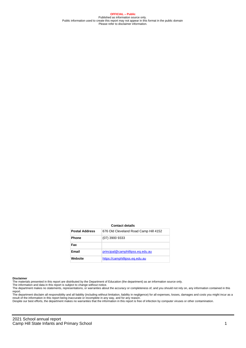**OFFICIAL – Public** Published as information source only. Public information used to create this report may not appear in this format in the public domain Please refer to disclaimer information.

#### **Contact details**

| <b>Postal Address</b> | 676 Old Cleveland Road Camp Hill 4152 |
|-----------------------|---------------------------------------|
| <b>Phone</b>          | $(07)$ 3900 9333                      |
| Fax                   |                                       |
| Email                 | principal@camphillipss.eq.edu.au      |
| Website               | https://camphillipss.eq.edu.au        |

#### **Disclaimer**

The materials presented in this report are distributed by the Department of Education (the department) as an information source only.

The information and data in this report is subject to change without notice.<br>The department makes no statements, representations, or warranties about the accuracy or completeness of, and you should not rely on, any informa report.

The department disclaim all responsibility and all liability (including without limitation, liability in negligence) for all expenses, losses, damages and costs you might incur as a result of the information in this report being inaccurate or incomplete in any way, and for any reason.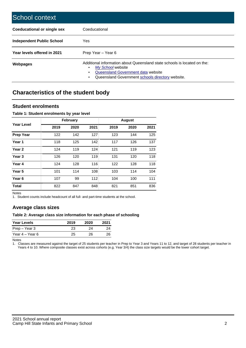| School context                   |                                                                                                                                                                                              |
|----------------------------------|----------------------------------------------------------------------------------------------------------------------------------------------------------------------------------------------|
| Coeducational or single sex      | Coeducational                                                                                                                                                                                |
| <b>Independent Public School</b> | <b>Yes</b>                                                                                                                                                                                   |
| Year levels offered in 2021      | Prep Year - Year 6                                                                                                                                                                           |
| Webpages                         | Additional information about Queensland state schools is located on the:<br>My School website<br>Queensland Government data website<br>Queensland Government schools directory website.<br>٠ |

## **Characteristics of the student body**

#### **Student enrolments**

#### **Table 1: Student enrolments by year level**

|                   |      | <b>February</b> |      |      | <b>August</b> |      |
|-------------------|------|-----------------|------|------|---------------|------|
| <b>Year Level</b> | 2019 | 2020            | 2021 | 2019 | 2020          | 2021 |
| <b>Prep Year</b>  | 122  | 142             | 127  | 123  | 144           | 125  |
| Year 1            | 118  | 125             | 142  | 117  | 126           | 137  |
| Year <sub>2</sub> | 124  | 119             | 124  | 121  | 119           | 123  |
| Year <sub>3</sub> | 126  | 120             | 119  | 131  | 120           | 118  |
| Year 4            | 124  | 128             | 116  | 122  | 128           | 118  |
| Year 5            | 101  | 114             | 108  | 103  | 114           | 104  |
| Year <sub>6</sub> | 107  | 99              | 112  | 104  | 100           | 111  |
| <b>Total</b>      | 822  | 847             | 848  | 821  | 851           | 836  |

Notes

1. Student counts include headcount of all full- and part-time students at the school.

#### **Average class sizes**

#### **Table 2: Average class size information for each phase of schooling**

| <b>Year Levels</b> | 2019 | 2020 | 2021 |
|--------------------|------|------|------|
| Prep – Year 3      | 23   | 24   | 24   |
| Year 4 – Year 6    | 25   | 26.  | 26   |

Notes

1. Classes are measured against the target of 25 students per teacher in Prep to Year 3 and Years 11 to 12, and target of 28 students per teacher in Years 4 to 10. Where composite classes exist across cohorts (e.g. Year 3/4) the class size targets would be the lower cohort target.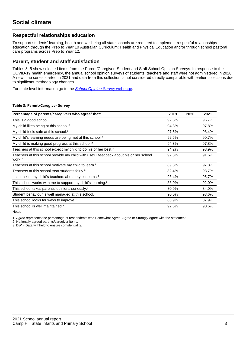#### **Respectful relationships education**

To support students' learning, health and wellbeing all state schools are required to implement respectful relationships education through the Prep to Year 10 Australian Curriculum: Health and Physical Education and/or through school pastoral care programs across Prep to Year 12.

#### **Parent, student and staff satisfaction**

Tables 3–5 show selected items from the Parent/Caregiver, Student and Staff School Opinion Surveys. In response to the COVID-19 health emergency, the annual school opinion surveys of students, teachers and staff were not administered in 2020. A new time series started in 2021 and data from this collection is not considered directly comparable with earlier collections due to significant methodology changes.

For state level information go to the **[School Opinion Survey](https://qed.qld.gov.au/publications/reports/statistics/schooling/schools/schoolopinionsurvey) webpage**.

#### **Table 3: Parent/Caregiver Survey**

| Percentage of parents/caregivers who agree <sup>1</sup> that:                                               | 2019  | 2020 | 2021  |
|-------------------------------------------------------------------------------------------------------------|-------|------|-------|
| This is a good school.                                                                                      | 92.6% |      | 96.7% |
| My child likes being at this school. <sup>2</sup>                                                           | 94.3% |      | 97.8% |
| My child feels safe at this school. <sup>2</sup>                                                            | 97.5% |      | 98.4% |
| My child's learning needs are being met at this school. <sup>2</sup>                                        | 92.6% |      | 90.7% |
| My child is making good progress at this school. <sup>2</sup>                                               | 94.3% |      | 97.8% |
| Teachers at this school expect my child to do his or her best. <sup>2</sup>                                 | 94.2% |      | 98.9% |
| Teachers at this school provide my child with useful feedback about his or her school<br>work. <sup>2</sup> | 92.3% |      | 91.6% |
| Teachers at this school motivate my child to learn. <sup>2</sup>                                            | 89.3% |      | 97.8% |
| Teachers at this school treat students fairly. <sup>2</sup>                                                 | 82.4% |      | 93.7% |
| I can talk to my child's teachers about my concerns. <sup>2</sup>                                           | 93.4% |      | 95.7% |
| This school works with me to support my child's learning. <sup>2</sup>                                      | 88.0% |      | 92.0% |
| This school takes parents' opinions seriously. <sup>2</sup>                                                 | 80.9% |      | 84.0% |
| Student behaviour is well managed at this school. <sup>2</sup>                                              | 90.0% |      | 93.6% |
| This school looks for ways to improve. <sup>2</sup>                                                         | 88.9% |      | 87.9% |
| This school is well maintained. <sup>2</sup>                                                                | 92.6% |      | 90.6% |

Notes

1. Agree represents the percentage of respondents who Somewhat Agree, Agree or Strongly Agree with the statement.

2. Nationally agreed parents/caregiver items.

3. DW = Data withheld to ensure confidentiality.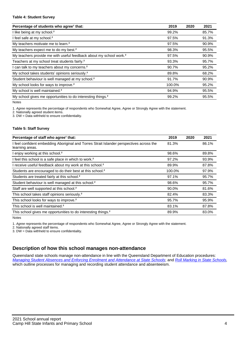#### **Table 4: Student Survey**

| Percentage of students who agree <sup>1</sup> that:                            | 2019   | 2020 | 2021  |
|--------------------------------------------------------------------------------|--------|------|-------|
| I like being at my school. <sup>2</sup>                                        | 99.2%  |      | 85.7% |
| I feel safe at my school. <sup>2</sup>                                         | 97.5%  |      | 91.3% |
| My teachers motivate me to learn. <sup>2</sup>                                 | 97.5%  |      | 90.9% |
| My teachers expect me to do my best. <sup>2</sup>                              | 98.3%  |      | 95.5% |
| My teachers provide me with useful feedback about my school work. <sup>2</sup> | 97.5%  |      | 90.9% |
| Teachers at my school treat students fairly. <sup>2</sup>                      | 93.3%  |      | 95.7% |
| I can talk to my teachers about my concerns. <sup>2</sup>                      | 90.7%  |      | 95.2% |
| My school takes students' opinions seriously. <sup>2</sup>                     | 89.8%  |      | 68.2% |
| Student behaviour is well managed at my school. <sup>2</sup>                   | 91.7%  |      | 90.9% |
| My school looks for ways to improve. <sup>2</sup>                              | 100.0% |      | 95.2% |
| My school is well maintained. <sup>2</sup>                                     | 94.9%  |      | 95.5% |
| My school gives me opportunities to do interesting things. <sup>2</sup>        | 99.2%  |      | 95.5% |

Notes

1. Agree represents the percentage of respondents who Somewhat Agree, Agree or Strongly Agree with the statement.

2. Nationally agreed student items.

3. DW = Data withheld to ensure confidentiality.

#### **Table 5: Staff Survey**

| Percentage of staff who agree <sup>1</sup> that:                                                            | 2019   | 2020 | 2021  |
|-------------------------------------------------------------------------------------------------------------|--------|------|-------|
| I feel confident embedding Aboriginal and Torres Strait Islander perspectives across the<br>learning areas. | 81.3%  |      | 86.1% |
| I enjoy working at this school. <sup>2</sup>                                                                | 98.6%  |      | 89.8% |
| I feel this school is a safe place in which to work. <sup>2</sup>                                           | 97.2%  |      | 93.9% |
| I receive useful feedback about my work at this school. <sup>2</sup>                                        | 89.9%  |      | 87.8% |
| Students are encouraged to do their best at this school. <sup>2</sup>                                       | 100.0% |      | 97.9% |
| Students are treated fairly at this school. <sup>2</sup>                                                    | 97.1%  |      | 95.7% |
| Student behaviour is well managed at this school. <sup>2</sup>                                              | 98.6%  |      | 95.7% |
| Staff are well supported at this school. <sup>2</sup>                                                       | 90.0%  |      | 81.6% |
| This school takes staff opinions seriously. <sup>2</sup>                                                    | 82.4%  |      | 83.3% |
| This school looks for ways to improve. <sup>2</sup>                                                         | 95.7%  |      | 95.9% |
| This school is well maintained. <sup>2</sup>                                                                | 83.1%  |      | 87.8% |
| This school gives me opportunities to do interesting things. <sup>2</sup>                                   | 89.9%  |      | 83.0% |

Notes

1. Agree represents the percentage of respondents who Somewhat Agree, Agree or Strongly Agree with the statement.

2. Nationally agreed staff items.

3. DW = Data withheld to ensure confidentiality.

#### **Description of how this school manages non-attendance**

Queensland state schools manage non-attendance in line with the Queensland Department of Education procedures: [Managing Student Absences and Enforcing Enrolment and Attendance at State Schools](https://ppr.qed.qld.gov.au/pp/managing-student-absences-and-enforcing-enrolment-and-attendance-at-state-schools-procedure); and [Roll Marking in State Schools,](https://ppr.qed.qld.gov.au/pp/roll-marking-in-state-schools-procedure) which outline processes for managing and recording student attendance and absenteeism.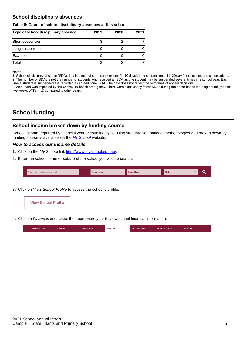#### **School disciplinary absences**

#### **Table 6: Count of school disciplinary absences at this school**

| Type of school disciplinary absence | 2019 | 2020 | 2021 |
|-------------------------------------|------|------|------|
| Short suspension                    | З    |      |      |
| Long suspension                     |      |      |      |
| Exclusion                           |      |      |      |
| Total                               | 3    |      |      |

Notes

1. School disciplinary absence (SDA) data is a total of short suspensions (1–10 days), long suspensions (11–20 days), exclusions and cancellations. 2. The number of SDAs is not the number of students who received an SDA as one student may be suspended several times in a school year. Each time a student is suspended it is recorded as an additional SDA. The data does not reflect the outcomes of appeal decisions.

3. 2020 data was impacted by the COVID-19 health emergency. There were significantly fewer SDAs during the home-based learning period (the first five weeks of Term 2) compared to other years.

## **School funding**

#### **School income broken down by funding source**

School income, reported by financial year accounting cycle using standardised national methodologies and broken down by funding source is available via the  $My$  School website.

#### **How to access our income details**

- 1. Click on the My School link <http://www.myschool.edu.au/>.
- 2. Enter the school name or suburb of the school you wish to search.

|--|

3. Click on View School Profile to access the school's profile.



4. Click on Finances and select the appropriate year to view school financial information.

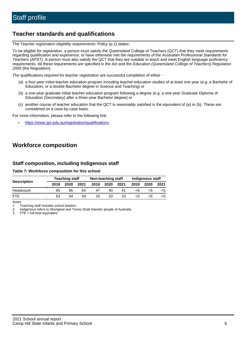## **Teacher standards and qualifications**

The Teacher registration eligibility requirements: Policy (p.1) states:

To be eligible for registration, a person must satisfy the Queensland College of Teachers (QCT) that they meet requirements regarding qualification and experience, or have otherwise met the requirements of the Australian Professional Standards for Teachers (APST). A person must also satisfy the QCT that they are suitable to teach and meet English language proficiency requirements. All these requirements are specified in the Act and the Education (Queensland College of Teachers) Regulation 2005 (the Regulation).

The qualifications required for teacher registration are successful completion of either -

- (a) a four-year initial teacher education program including teacher education studies of at least one year (e.g. a Bachelor of Education, or a double Bachelor degree in Science and Teaching) or
- (b) a one-year graduate initial teacher education program following a degree (e.g. a one-year Graduate Diploma of Education (Secondary) after a three-year Bachelor degree) or
- (c) another course of teacher education that the QCT is reasonably satisfied is the equivalent of (a) or (b). These are considered on a case-by-case basis.

For more information, please refer to the following link:

• <https://www.qct.edu.au/registration/qualifications>

## **Workforce composition**

#### **Staff composition, including Indigenous staff**

#### **Table 7: Workforce composition for this school**

|                    | <b>Teaching staff</b> |      | Non-teaching staff |      | Indigenous staff |                 |      |      |      |
|--------------------|-----------------------|------|--------------------|------|------------------|-----------------|------|------|------|
| <b>Description</b> | 2019                  | 2020 | 2021               | 2019 | 2020             | 2021            | 2019 | 2020 | 2021 |
| Headcount          | 65                    | 66   | 64                 | 47   | 40               | 41              | <5   | <5   |      |
| <b>FTF</b>         | 53                    | 54   | 54                 | 25   | 23               | 23 <sub>1</sub> | <5   | ה>   |      |

Notes

1. Teaching staff includes school leaders.

2. Indigenous refers to Aboriginal and Torres Strait Islander people of Australia.

3. FTE = full-time equivalent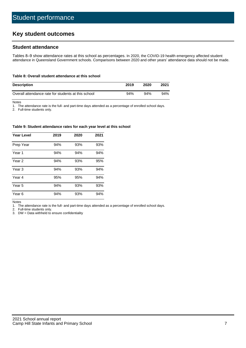## **Key student outcomes**

#### **Student attendance**

Tables 8–9 show attendance rates at this school as percentages. In 2020, the COVID-19 health emergency affected student attendance in Queensland Government schools. Comparisons between 2020 and other years' attendance data should not be made.

#### **Table 8: Overall student attendance at this school**

| <b>Description</b>                                  | 2019 | 2020 | 2021 |
|-----------------------------------------------------|------|------|------|
| Overall attendance rate for students at this school | 94%  | 94%  | 94%  |

Notes

1. The attendance rate is the full- and part-time days attended as a percentage of enrolled school days.

2. Full-time students only.

#### **Table 9: Student attendance rates for each year level at this school**

| <b>Year Level</b> | 2019 | 2020 | 2021 |
|-------------------|------|------|------|
| Prep Year         | 94%  | 93%  | 93%  |
| Year <sub>1</sub> | 94%  | 94%  | 94%  |
| Year 2            | 94%  | 93%  | 95%  |
| Year <sub>3</sub> | 94%  | 93%  | 94%  |
| Year 4            | 95%  | 95%  | 94%  |
| Year 5            | 94%  | 93%  | 93%  |
| Year <sub>6</sub> | 94%  | 93%  | 94%  |

Notes

1. The attendance rate is the full- and part-time days attended as a percentage of enrolled school days.

2. Full-time students only.

3. DW = Data withheld to ensure confidentiality